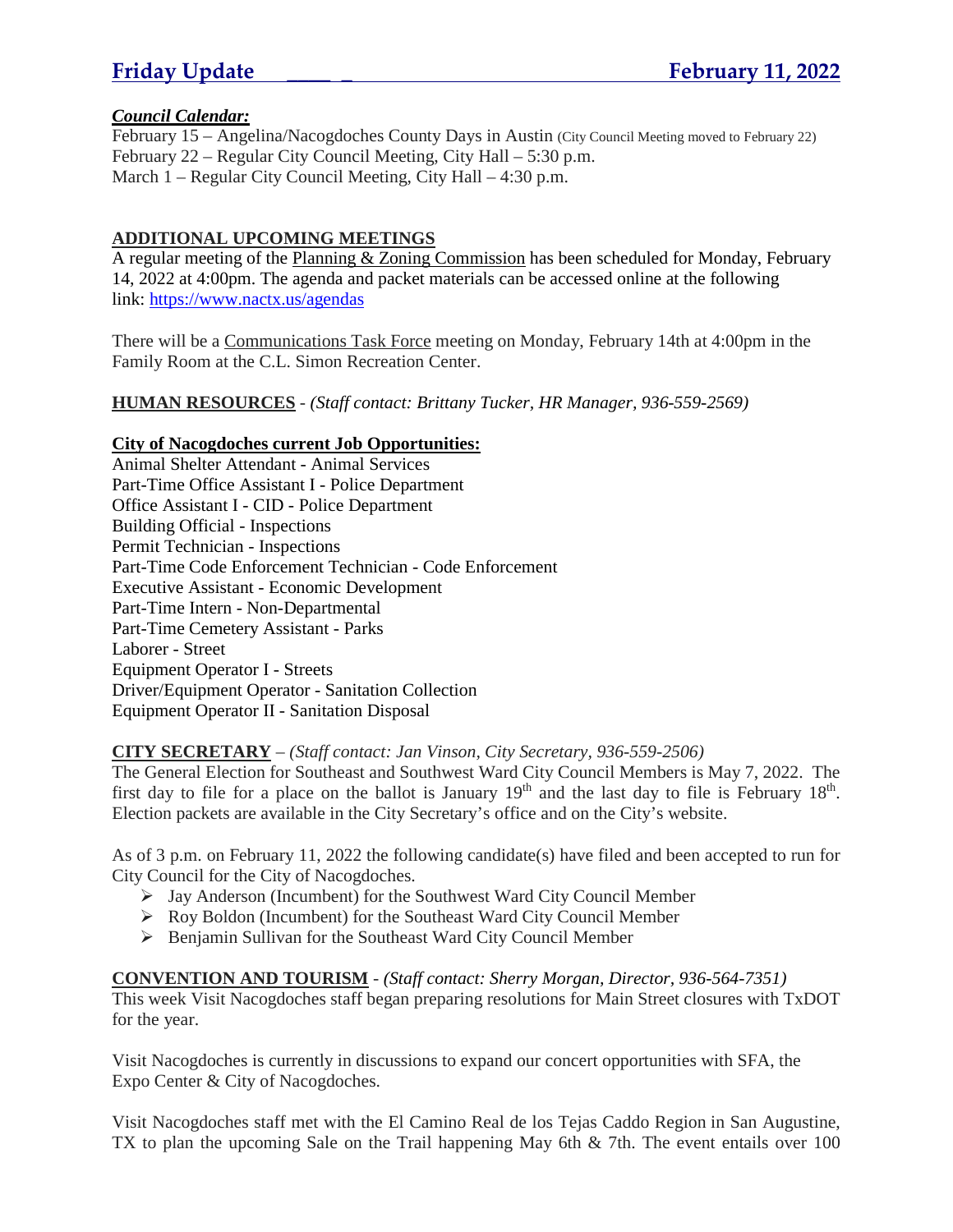### *Council Calendar:*

February 15 – Angelina/Nacogdoches County Days in Austin (City Council Meeting moved to February 22) February 22 – Regular City Council Meeting, City Hall – 5:30 p.m. March 1 – Regular City Council Meeting, City Hall – 4:30 p.m.

### **ADDITIONAL UPCOMING MEETINGS**

A regular meeting of the Planning & Zoning Commission has been scheduled for Monday, February 14, 2022 at 4:00pm. The agenda and packet materials can be accessed online at the following link: https://www.nactx.us/agendas

There will be a Communications Task Force meeting on Monday, February 14th at 4:00pm in the Family Room at the C.L. Simon Recreation Center.

**HUMAN RESOURCES** - *(Staff contact: Brittany Tucker, HR Manager, 936-559-2569)*

### **City of Nacogdoches current Job Opportunities:**

Animal Shelter Attendant - Animal Services Part-Time Office Assistant I - Police Department Office Assistant I - CID - Police Department Building Official - Inspections Permit Technician - Inspections Part-Time Code Enforcement Technician - Code Enforcement Executive Assistant - Economic Development Part-Time Intern - Non-Departmental Part-Time Cemetery Assistant - Parks Laborer - Street Equipment Operator I - Streets Driver/Equipment Operator - Sanitation Collection Equipment Operator II - Sanitation Disposal

### **CITY SECRETARY** – *(Staff contact: Jan Vinson, City Secretary, 936-559-2506)*

The General Election for Southeast and Southwest Ward City Council Members is May 7, 2022. The first day to file for a place on the ballot is January  $19<sup>th</sup>$  and the last day to file is February  $18<sup>th</sup>$ . Election packets are available in the City Secretary's office and on the City's website.

As of 3 p.m. on February 11, 2022 the following candidate(s) have filed and been accepted to run for City Council for the City of Nacogdoches.

- Jay Anderson (Incumbent) for the Southwest Ward City Council Member
- Roy Boldon (Incumbent) for the Southeast Ward City Council Member
- $\triangleright$  Benjamin Sullivan for the Southeast Ward City Council Member

**CONVENTION AND TOURISM** - *(Staff contact: Sherry Morgan, Director, 936-564-7351)* This week Visit Nacogdoches staff began preparing resolutions for Main Street closures with TxDOT for the year.

Visit Nacogdoches is currently in discussions to expand our concert opportunities with SFA, the Expo Center & City of Nacogdoches.

Visit Nacogdoches staff met with the El Camino Real de los Tejas Caddo Region in San Augustine, TX to plan the upcoming Sale on the Trail happening May 6th & 7th. The event entails over 100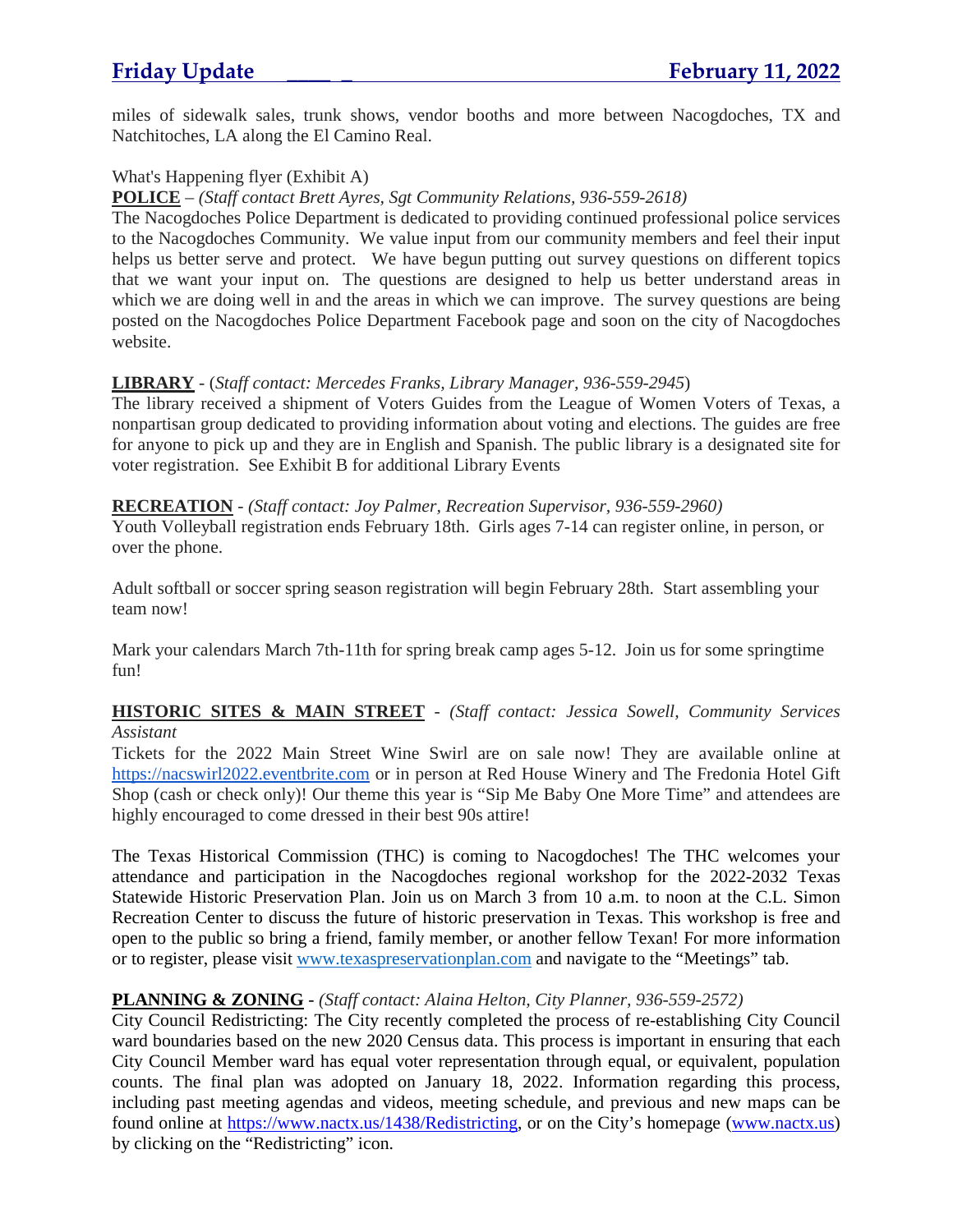miles of sidewalk sales, trunk shows, vendor booths and more between Nacogdoches, TX and Natchitoches, LA along the El Camino Real.

### What's Happening flyer (Exhibit A)

### **POLICE** – *(Staff contact Brett Ayres, Sgt Community Relations, 936-559-2618)*

The Nacogdoches Police Department is dedicated to providing continued professional police services to the Nacogdoches Community. We value input from our community members and feel their input helps us better serve and protect. We have begun putting out survey questions on different topics that we want your input on. The questions are designed to help us better understand areas in which we are doing well in and the areas in which we can improve. The survey questions are being posted on the Nacogdoches Police Department Facebook page and soon on the city of Nacogdoches website.

### **LIBRARY** - (*Staff contact: Mercedes Franks, Library Manager, 936-559-2945*)

The library received a shipment of Voters Guides from the League of Women Voters of Texas, a nonpartisan group dedicated to providing information about voting and elections. The guides are free for anyone to pick up and they are in English and Spanish. The public library is a designated site for voter registration. See Exhibit B for additional Library Events

### **RECREATION** - *(Staff contact: Joy Palmer, Recreation Supervisor, 936-559-2960)*

Youth Volleyball registration ends February 18th. Girls ages 7-14 can register online, in person, or over the phone.

Adult softball or soccer spring season registration will begin February 28th. Start assembling your team now!

Mark your calendars March 7th-11th for spring break camp ages 5-12. Join us for some springtime fun!

### **HISTORIC SITES & MAIN STREET** - *(Staff contact: Jessica Sowell, Community Services Assistant*

Tickets for the 2022 Main Street Wine Swirl are on sale now! They are available online at https://nacswirl2022.eventbrite.com or in person at Red House Winery and The Fredonia Hotel Gift Shop (cash or check only)! Our theme this year is "Sip Me Baby One More Time" and attendees are highly encouraged to come dressed in their best 90s attire!

The Texas Historical Commission (THC) is coming to Nacogdoches! The THC welcomes your attendance and participation in the Nacogdoches regional workshop for the 2022-2032 Texas Statewide Historic Preservation Plan. Join us on March 3 from 10 a.m. to noon at the C.L. Simon Recreation Center to discuss the future of historic preservation in Texas. This workshop is free and open to the public so bring a friend, family member, or another fellow Texan! For more information or to register, please visit www.texaspreservationplan.com and navigate to the "Meetings" tab.

## **PLANNING & ZONING** - *(Staff contact: Alaina Helton, City Planner, 936-559-2572)*

City Council Redistricting: The City recently completed the process of re-establishing City Council ward boundaries based on the new 2020 Census data. This process is important in ensuring that each City Council Member ward has equal voter representation through equal, or equivalent, population counts. The final plan was adopted on January 18, 2022. Information regarding this process, including past meeting agendas and videos, meeting schedule, and previous and new maps can be found online at https://www.nactx.us/1438/Redistricting, or on the City's homepage (www.nactx.us) by clicking on the "Redistricting" icon.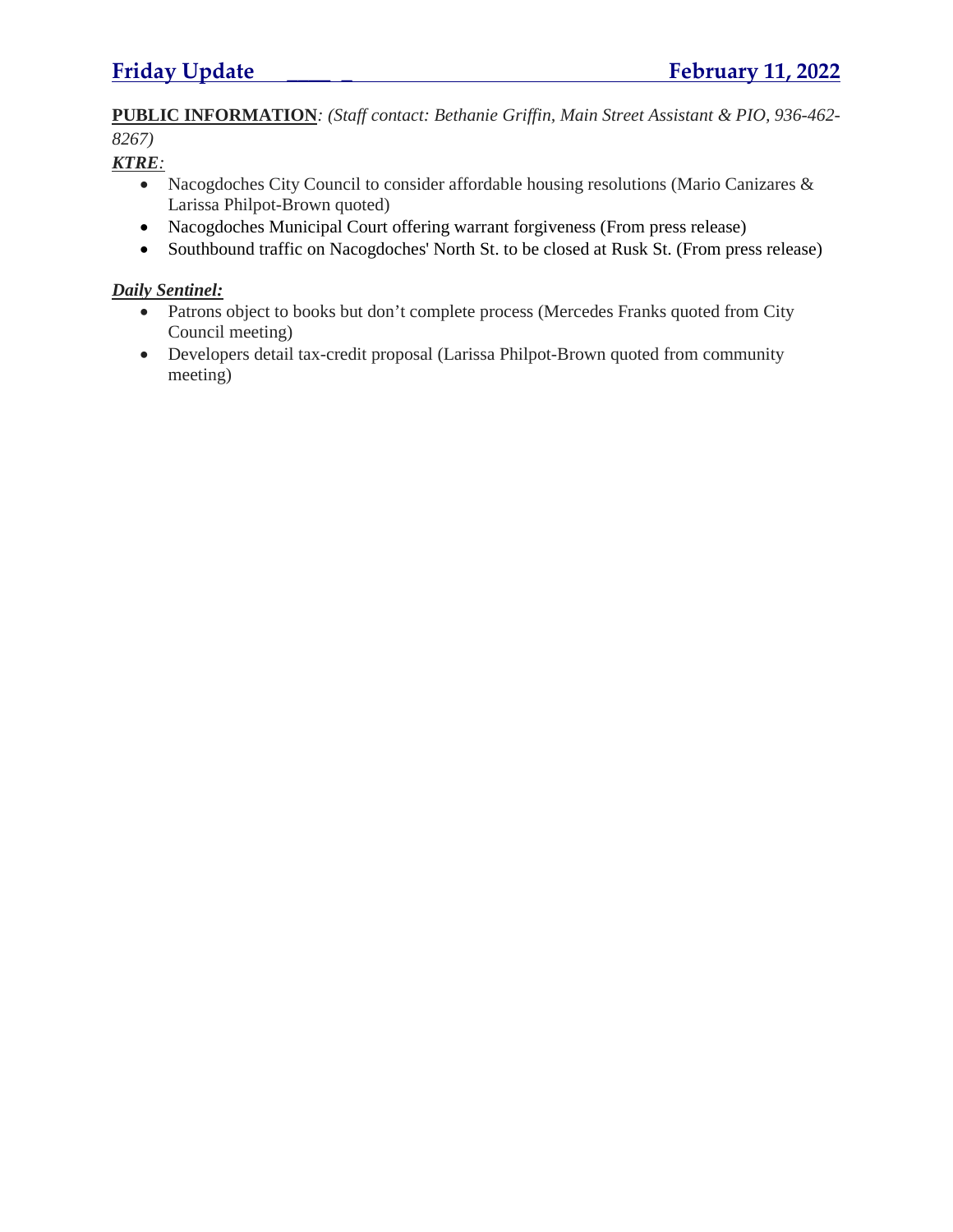**PUBLIC INFORMATION***: (Staff contact: Bethanie Griffin, Main Street Assistant & PIO, 936-462- 8267)*

*KTRE:*

- Nacogdoches City Council to consider affordable housing resolutions (Mario Canizares & Larissa Philpot-Brown quoted)
- Nacogdoches Municipal Court offering warrant forgiveness (From press release)
- Southbound traffic on Nacogdoches' North St. to be closed at Rusk St. (From press release)

## *Daily Sentinel:*

- Patrons object to books but don't complete process (Mercedes Franks quoted from City Council meeting)
- Developers detail tax-credit proposal (Larissa Philpot-Brown quoted from community meeting)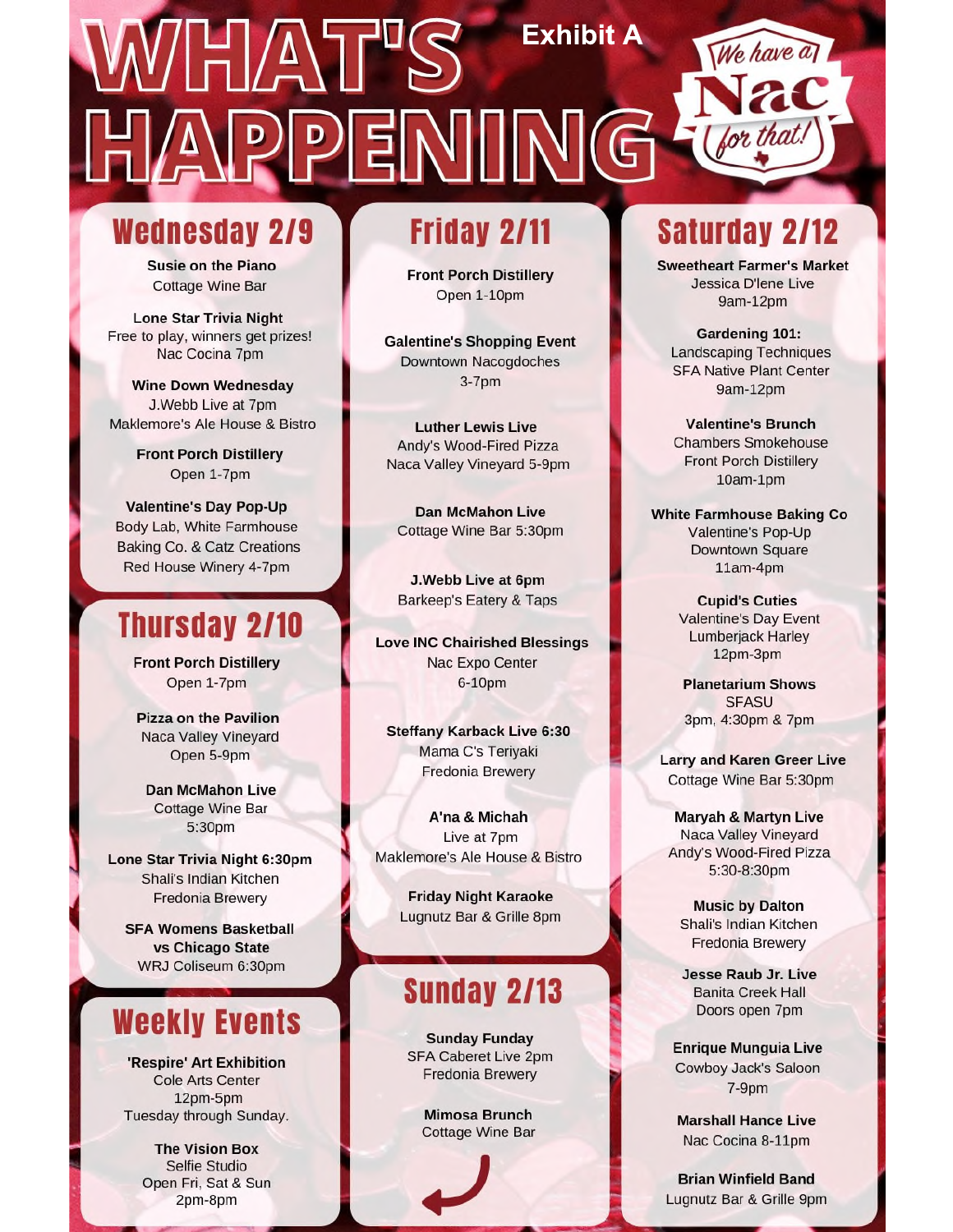# **Exhibit A**

# Wednesday 2/9

**Susie on the Piano Cottage Wine Bar** 

**Lone Star Trivia Night** Free to play, winners get prizes! Nac Cocina 7pm

**Wine Down Wednesday** J.Webb Live at 7pm Maklemore's Ale House & Bistro

> **Front Porch Distillery** Open 1-7pm

**Valentine's Day Pop-Up** Body Lab, White Farmhouse Baking Co. & Catz Creations Red House Winery 4-7pm

# **Thursday 2/10**

**Front Porch Distillery** Open 1-7pm

**Pizza on the Pavilion** Naca Valley Vineyard Open 5-9pm

**Dan McMahon Live Cottage Wine Bar** 5:30pm

Lone Star Trivia Night 6:30pm Shali's Indian Kitchen **Fredonia Brewery** 

**SFA Womens Basketball** vs Chicago State WRJ Coliseum 6:30pm

# **Weekly Events**

'Respire' Art Exhibition Cole Arts Center 12pm-5pm Tuesday through Sunday.

> **The Vision Box** Selfie Studio Open Fri, Sat & Sun 2pm-8pm

# **Friday 2/11**

**Front Porch Distillery** Open 1-10pm

**Galentine's Shopping Event** Downtown Nacogdoches  $3-7<sub>pm</sub>$ 

**Luther Lewis Live** Andy's Wood-Fired Pizza Naca Valley Vineyard 5-9pm

**Dan McMahon Live** Cottage Wine Bar 5:30pm

J.Webb Live at 6pm **Barkeep's Eatery & Taps** 

**Love INC Chairished Blessings** Nac Expo Center 6-10pm

**Steffany Karback Live 6:30** Mama C's Teriyaki Fredonia Brewery

A'na & Michah Live at 7pm Maklemore's Ale House & Bistro

> **Friday Night Karaoke** Lugnutz Bar & Grille 8pm

# **Sunday 2/13**

**Sunday Funday** SFA Caberet Live 2pm **Fredonia Brewery** 

> **Mimosa Brunch Cottage Wine Bar**

# **Saturday 2/12**

**Sweetheart Farmer's Market** Jessica D'Iene Live 9am-12pm

Gardening 101: **Landscaping Techniques SFA Native Plant Center** 9am-12pm

**Valentine's Brunch Chambers Smokehouse Front Porch Distillery** 10am-1pm

**White Farmhouse Baking Co** Valentine's Pop-Up **Downtown Square** 11am-4pm

> **Cupid's Cuties** Valentine's Day Event Lumberjack Harley 12pm-3pm

**Planetarium Shows SFASU** 3pm, 4:30pm & 7pm

**Larry and Karen Greer Live** Cottage Wine Bar 5:30pm

**Maryah & Martyn Live** Naca Valley Vineyard Andy's Wood-Fired Pizza 5:30-8:30pm

**Music by Dalton** Shali's Indian Kitchen **Fredonia Brewery** 

**Jesse Raub Jr. Live Banita Creek Hall** Doors open 7pm

**Enrique Munguia Live** Cowboy Jack's Saloon  $7-9<sub>pm</sub>$ 

**Marshall Hance Live** Nac Cocina 8-11pm

**Brian Winfield Band** Lugnutz Bar & Grille 9pm